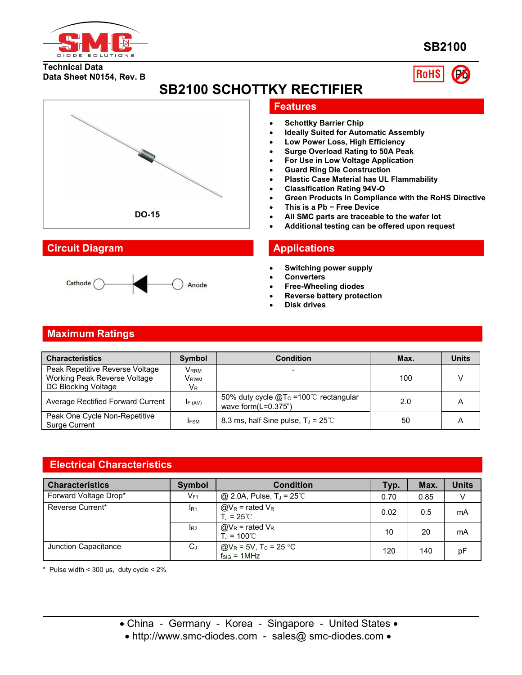

**SB2100**

## **Technical Data Data Sheet N0154, Rev. B**



**SB2100 SCHOTTKY RECTIFIER**



# **Circuit Diagram Applications**



# **Features**

- **Schottky Barrier Chip**
- **Ideally Suited for Automatic Assembly**
- **Low Power Loss, High Efficiency**
- **Surge Overload Rating to 50A Peak**
- **For Use in Low Voltage Application**
- **Guard Ring Die Construction**
- **Plastic Case Material has UL Flammability**
- **Classification Rating 94V-O**
- **Green Products in Compliance with the RoHS Directive**
- **This is a Pb − Free Device**
- **All SMC parts are traceable to the wafer lot**
- **Additional testing can be offered upon request**

- **Switching power supply**
- **Converters**
- **Free-Wheeling diodes**
- **Reverse battery protection**
- **Disk drives**

# **Maximum Ratings**

| <b>Characteristics</b>                                          | Symbol       | <b>Condition</b>                                                          | Max. | <b>Units</b> |
|-----------------------------------------------------------------|--------------|---------------------------------------------------------------------------|------|--------------|
| Peak Repetitive Reverse Voltage<br>Working Peak Reverse Voltage | Vrrm<br>Vrwm | $\overline{\phantom{0}}$                                                  | 100  |              |
| DC Blocking Voltage                                             | $V_{R}$      |                                                                           |      |              |
| Average Rectified Forward Current                               | IF (AV)      | 50% duty cycle $@T_c = 100^{\circ}$ rectangular<br>wave form $(L=0.375")$ | 2.0  | A            |
| Peak One Cycle Non-Repetitive<br><b>Surge Current</b>           | <b>IFSM</b>  | 8.3 ms, half Sine pulse, $T_J = 25^{\circ}C$                              | 50   | A            |

## **Electrical Characteristics**

| <b>Characteristics</b> | <b>Symbol</b>              | <b>Condition</b>                                                        | Typ. | Max. | <b>Units</b> |
|------------------------|----------------------------|-------------------------------------------------------------------------|------|------|--------------|
| Forward Voltage Drop*  | $\mathsf{V}_{\mathsf{F1}}$ | @ 2.0A, Pulse, $T_J = 25^{\circ}$ C                                     | 0.70 | 0.85 | V            |
| Reverse Current*       | I <sub>R1</sub>            | $@V_R$ = rated $V_R$<br>$T_{\rm d}$ = 25°C                              | 0.02 | 0.5  | mA           |
|                        | $I_{R2}$                   | $@V_R$ = rated $V_R$<br>$T_J = 100^{\circ}$ C                           | 10   | 20   | mA           |
| Junction Capacitance   | $C_{J}$                    | @V <sub>R</sub> = 5V, T <sub>C</sub> = 25 °C<br>f <sub>SIG</sub> = 1MHz | 120  | 140  | рF           |

 $*$  Pulse width < 300 µs, duty cycle <  $2\%$ 

• http://www.smc-diodes.com - sales@ smc-diodes.com •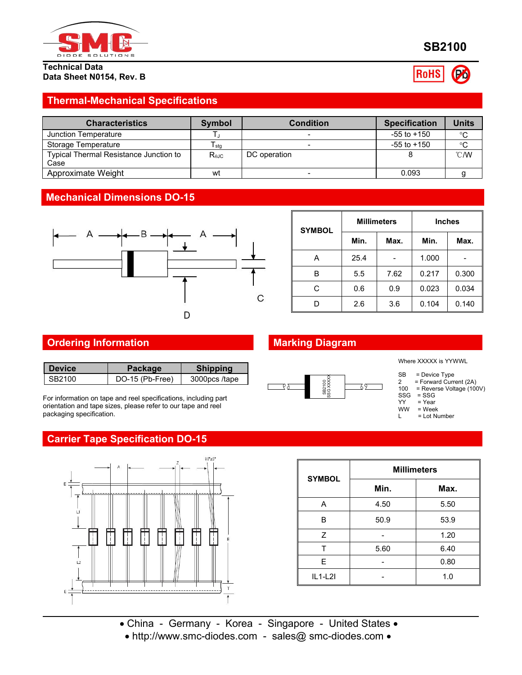

#### **Technical Data Data Sheet N0154, Rev. B**

# **SB2100**

**RoHS** 

# **Thermal-Mechanical Specifications**

| <b>Characteristics</b>                         | <b>Symbol</b>  | <b>Condition</b> | <b>Specification</b> | Units         |
|------------------------------------------------|----------------|------------------|----------------------|---------------|
| Junction Temperature                           |                |                  | $-55$ to $+150$      | $^{\circ}$ C  |
| Storage Temperature                            | l stq          |                  | $-55$ to $+150$      | $^{\circ}$ C  |
| Typical Thermal Resistance Junction to<br>Case | $R_{\theta$ JC | DC operation     |                      | $\degree$ C/W |
| Approximate Weight                             | wt             |                  | 0.093                |               |

## **Mechanical Dimensions DO-15**



| <b>SYMBOL</b> | <b>Millimeters</b> |                              | <b>Inches</b> |       |
|---------------|--------------------|------------------------------|---------------|-------|
|               | Min.               | Max.                         | Min.          | Max.  |
| A             | 25.4               | $\qquad \qquad \blacksquare$ | 1.000         |       |
| B             | 5.5                | 7.62                         | 0.217         | 0.300 |
| С             | 0.6                | 0.9                          | 0.023         | 0.034 |
| D             | 2.6                | 3.6                          | 0.104         | 0.140 |

# **Ordering Information Marking Diagram**

| <b>Shipping</b><br><b>Device</b><br>Package |
|---------------------------------------------|
| DO-15 (Pb-Free)<br>SB2100<br>3000pcs/tape   |

For information on tape and reel specifications, including part orientation and tape sizes, please refer to our tape and reel packaging specification.

# **Carrier Tape Specification DO-15**



| SB2100<br>SSG XXX: | SB<br>100 | = Device Type<br>= Forward Current (2A)<br>= Reverse Voltage (100V)<br>$SSG = SSG$ |
|--------------------|-----------|------------------------------------------------------------------------------------|
|                    | YY        | = Year                                                                             |
|                    | <b>WW</b> | $=$ Week                                                                           |
|                    |           | = Lot Number                                                                       |

Where XXXXX is YYWWL

| <b>SYMBOL</b> | <b>Millimeters</b> |      |  |  |
|---------------|--------------------|------|--|--|
|               | Min.               | Max. |  |  |
| Α             | 4.50               | 5.50 |  |  |
| B             | 50.9               | 53.9 |  |  |
| Z             |                    | 1.20 |  |  |
| т             | 5.60               | 6.40 |  |  |
| E             |                    | 0.80 |  |  |
| $IL1-L2I$     |                    | 1.0  |  |  |

China - Germany - Korea - Singapore - United States

http://www.smc-diodes.com - sales@ smc-diodes.com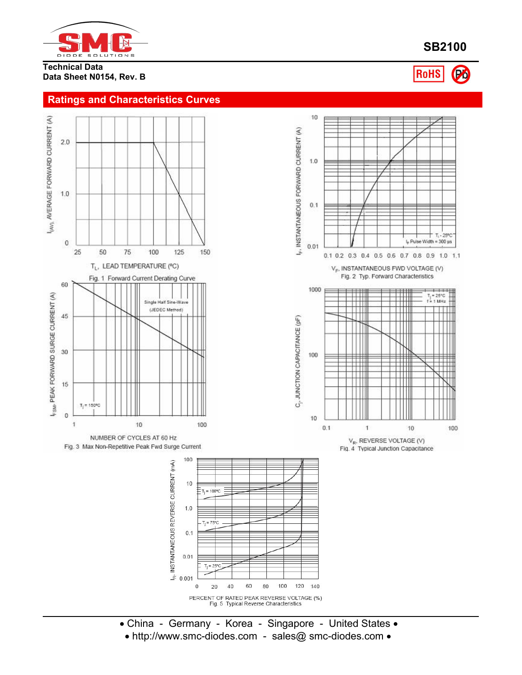

### **Technical Data Data Sheet N0154, Rev. B**

I<sub>(AV),</sub> AVERAGE FORWARD CURRENT (A)

 $2.0$ 

 $1.0$ 

 $\bf 0$ 

60

45

30

15

 $\mathbf{0}$ 

1

F<sub>SM</sub>, PEAK FORWARD SURGE CURRENT (A)

## **Ratings and Characteristics Curves**





- China Germany Korea Singapore United States
- http://www.smc-diodes.com sales@ smc-diodes.com